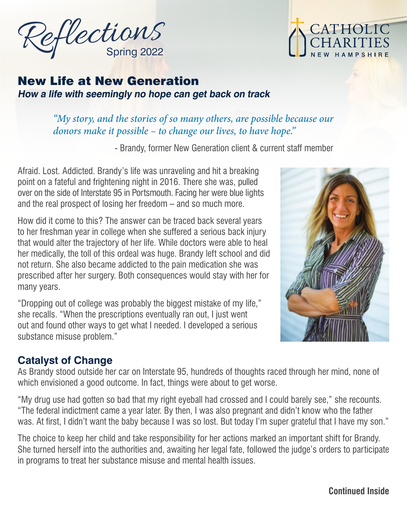



## New Life at New Generation **How a life with seemingly no hope can get back on track**

#### *"My story, and the stories of so many others, are possible because our donors make it possible – to change our lives, to have hope."*

- Brandy, former New Generation client & current staff member

Afraid. Lost. Addicted. Brandy's life was unraveling and hit a breaking point on a fateful and frightening night in 2016. There she was, pulled over on the side of Interstate 95 in Portsmouth. Facing her were blue lights and the real prospect of losing her freedom – and so much more.

How did it come to this? The answer can be traced back several years to her freshman year in college when she suffered a serious back injury that would alter the trajectory of her life. While doctors were able to heal her medically, the toll of this ordeal was huge. Brandy left school and did not return. She also became addicted to the pain medication she was prescribed after her surgery. Both consequences would stay with her for many years.

"Dropping out of college was probably the biggest mistake of my life," she recalls. "When the prescriptions eventually ran out, I just went out and found other ways to get what I needed. I developed a serious substance misuse problem."

## **Catalyst of Change**

As Brandy stood outside her car on Interstate 95, hundreds of thoughts raced through her mind, none of which envisioned a good outcome. In fact, things were about to get worse.

"My drug use had gotten so bad that my right eyeball had crossed and I could barely see," she recounts. "The federal indictment came a year later. By then, I was also pregnant and didn't know who the father was. At first, I didn't want the baby because I was so lost. But today I'm super grateful that I have my son."

The choice to keep her child and take responsibility for her actions marked an important shift for Brandy. She turned herself into the authorities and, awaiting her legal fate, followed the judge's orders to participate in programs to treat her substance misuse and mental health issues.



**Continued Inside**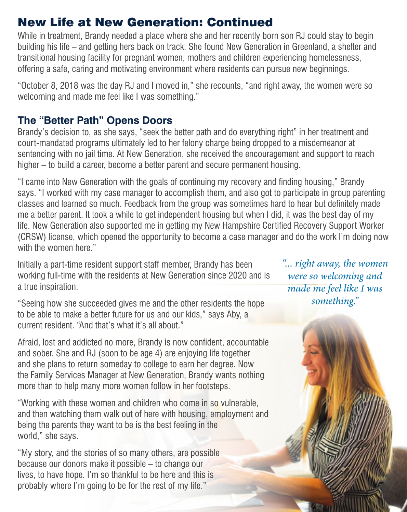# New Life at New Generation: Continued

While in treatment, Brandy needed a place where she and her recently born son RJ could stay to begin building his life – and getting hers back on track. She found New Generation in Greenland, a shelter and transitional housing facility for pregnant women, mothers and children experiencing homelessness, offering a safe, caring and motivating environment where residents can pursue new beginnings.

"October 8, 2018 was the day RJ and I moved in," she recounts, "and right away, the women were so welcoming and made me feel like I was something."

#### **The "Better Path" Opens Doors**

Brandy's decision to, as she says, "seek the better path and do everything right" in her treatment and court-mandated programs ultimately led to her felony charge being dropped to a misdemeanor at sentencing with no jail time. At New Generation, she received the encouragement and support to reach higher – to build a career, become a better parent and secure permanent housing.

"I came into New Generation with the goals of continuing my recovery and finding housing," Brandy says. "I worked with my case manager to accomplish them, and also got to participate in group parenting classes and learned so much. Feedback from the group was sometimes hard to hear but definitely made me a better parent. It took a while to get independent housing but when I did, it was the best day of my life. New Generation also supported me in getting my New Hampshire Certified Recovery Support Worker (CRSW) license, which opened the opportunity to become a case manager and do the work I'm doing now with the women here."

Initially a part-time resident support staff member, Brandy has been working full-time with the residents at New Generation since 2020 and is a true inspiration.

"Seeing how she succeeded gives me and the other residents the hope to be able to make a better future for us and our kids," says Aby, a current resident. "And that's what it's all about."

Afraid, lost and addicted no more, Brandy is now confident, accountable and sober. She and RJ (soon to be age 4) are enjoying life together and she plans to return someday to college to earn her degree. Now the Family Services Manager at New Generation, Brandy wants nothing more than to help many more women follow in her footsteps.

"Working with these women and children who come in so vulnerable, and then watching them walk out of here with housing, employment and being the parents they want to be is the best feeling in the world," she says.

"My story, and the stories of so many others, are possible because our donors make it possible – to change our lives, to have hope. I'm so thankful to be here and this is probably where I'm going to be for the rest of my life."

*"... right away, the women were so welcoming and made me feel like I was something."*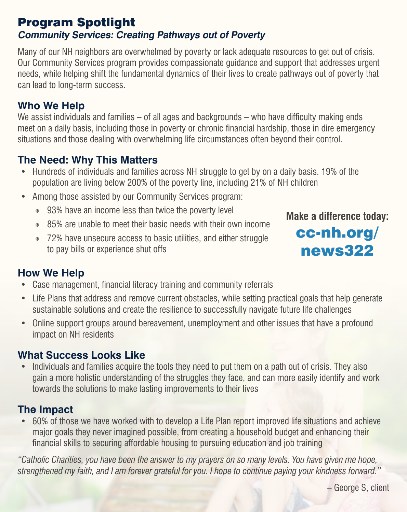#### Program Spotlight **Community Services: Creating Pathways out of Poverty**

Many of our NH neighbors are overwhelmed by poverty or lack adequate resources to get out of crisis. Our Community Services program provides compassionate guidance and support that addresses urgent needs, while helping shift the fundamental dynamics of their lives to create pathways out of poverty that can lead to long-term success.

# **Who We Help**

We assist individuals and families – of all ages and backgrounds – who have difficulty making ends meet on a daily basis, including those in poverty or chronic financial hardship, those in dire emergency situations and those dealing with overwhelming life circumstances often beyond their control.

# **The Need: Why This Matters**

- Hundreds of individuals and families across NH struggle to get by on a daily basis. 19% of the population are living below 200% of the poverty line, including 21% of NH children
- Among those assisted by our Community Services program:
	- ◉ 93% have an income less than twice the poverty level
	- ◉ 85% are unable to meet their basic needs with their own income
	- ◉ 72% have unsecure access to basic utilities, and either struggle to pay bills or experience shut offs



# cc-nh.org/ news322

## **How We Help**

- Case management, financial literacy training and community referrals
- Life Plans that address and remove current obstacles, while setting practical goals that help generate sustainable solutions and create the resilience to successfully navigate future life challenges
- Online support groups around bereavement, unemployment and other issues that have a profound impact on NH residents

### **What Success Looks Like**

• Individuals and families acquire the tools they need to put them on a path out of crisis. They also gain a more holistic understanding of the struggles they face, and can more easily identify and work towards the solutions to make lasting improvements to their lives

### **The Impact**

• 60% of those we have worked with to develop a Life Plan report improved life situations and achieve major goals they never imagined possible, from creating a household budget and enhancing their financial skills to securing affordable housing to pursuing education and job training

*"Catholic Charities, you have been the answer to my prayers on so many levels. You have given me hope, strengthened my faith, and I am forever grateful for you. I hope to continue paying your kindness forward."*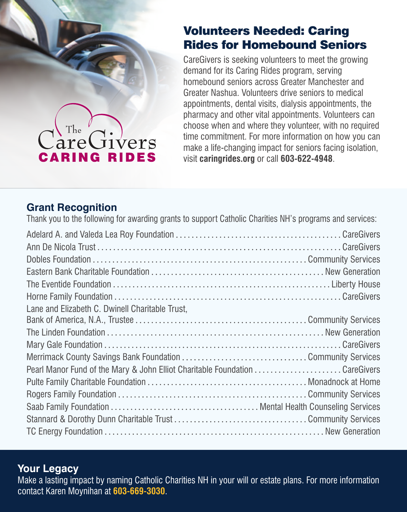## Volunteers Needed: Caring Rides for Homebound Seniors

CareGivers is seeking volunteers to meet the growing demand for its Caring Rides program, serving homebound seniors across Greater Manchester and Greater Nashua. Volunteers drive seniors to medical appointments, dental visits, dialysis appointments, the pharmacy and other vital appointments. Volunteers can choose when and where they volunteer, with no required time commitment. For more information on how you can make a life-changing impact for seniors facing isolation, visit **caringrides.org** or call **603-622-4948**.

### **Grant Recognition**

The

arel

**CARING RIDES** 

**Jivers** 

Thank you to the following for awarding grants to support Catholic Charities NH's programs and services: Adelard A. and Valeda Lea Roy Foundation CareGivers Ann De Nicola Trust CareGivers Dobles Foundation Community Services Eastern Bank Charitable Foundation New Generation The Eventide Foundation Liberty House Horne Family Foundation CareGivers Lane and Elizabeth C. Dwinell Charitable Trust, Bank of America, N.A., Trustee Community Services The Linden Foundation New Generation Mary Gale Foundation CareGivers Merrimack County Savings Bank Foundation Community Services Pearl Manor Fund of the Mary & John Elliot Charitable Foundation .......................CareGivers Pulte Family Charitable Foundation Monadnock at Home Rogers Family Foundation Community Services Saab Family Foundation Mental Health Counseling Services Stannard & Dorothy Dunn Charitable Trust Community Services TC Energy Foundation New Generation

#### **Your Legacy**

Make a lasting impact by naming Catholic Charities NH in your will or estate plans. For more information contact Karen Moynihan at **603-669-3030**.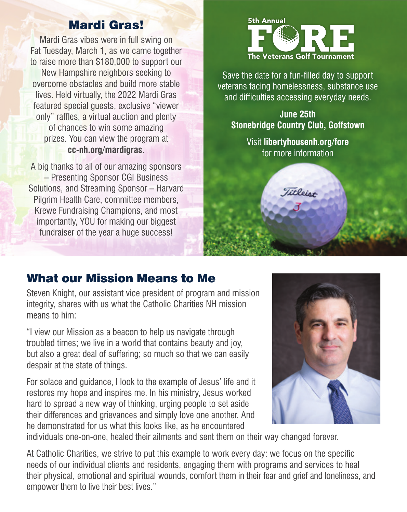#### Mardi Gras!

Mardi Gras vibes were in full swing on Fat Tuesday, March 1, as we came together to raise more than \$180,000 to support our New Hampshire neighbors seeking to overcome obstacles and build more stable lives. Held virtually, the 2022 Mardi Gras featured special guests, exclusive "viewer only" raffles, a virtual auction and plenty of chances to win some amazing prizes. You can view the program at **cc-nh.org/mardigras**.

A big thanks to all of our amazing sponsors – Presenting Sponsor CGI Business Solutions, and Streaming Sponsor – Harvard Pilgrim Health Care, committee members, Krewe Fundraising Champions, and most importantly, YOU for making our biggest fundraiser of the year a huge success!



Save the date for a fun-filled day to support veterans facing homelessness, substance use and difficulties accessing everyday needs.

**June 25th Stonebridge Country Club, Goffstown**

> Visit **libertyhousenh.org/fore** for more information

> > **Titleist**

### What our Mission Means to Me

Steven Knight, our assistant vice president of program and mission integrity, shares with us what the Catholic Charities NH mission means to him:

"I view our Mission as a beacon to help us navigate through troubled times; we live in a world that contains beauty and joy, but also a great deal of suffering; so much so that we can easily despair at the state of things.

For solace and guidance, I look to the example of Jesus' life and it restores my hope and inspires me. In his ministry, Jesus worked hard to spread a new way of thinking, urging people to set aside their differences and grievances and simply love one another. And he demonstrated for us what this looks like, as he encountered



individuals one-on-one, healed their ailments and sent them on their way changed forever.

At Catholic Charities, we strive to put this example to work every day: we focus on the specific needs of our individual clients and residents, engaging them with programs and services to heal their physical, emotional and spiritual wounds, comfort them in their fear and grief and loneliness, and empower them to live their best lives."